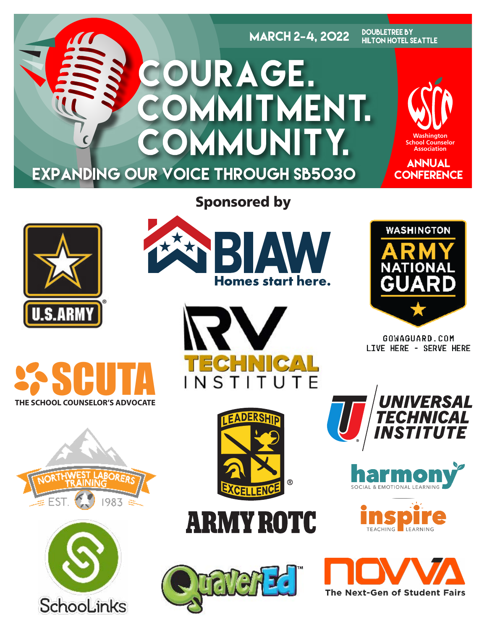

# Sponsored by

BIAN

Homes start here.



















GOWAGUARD.COM LIVE HERE - SERVE HERE







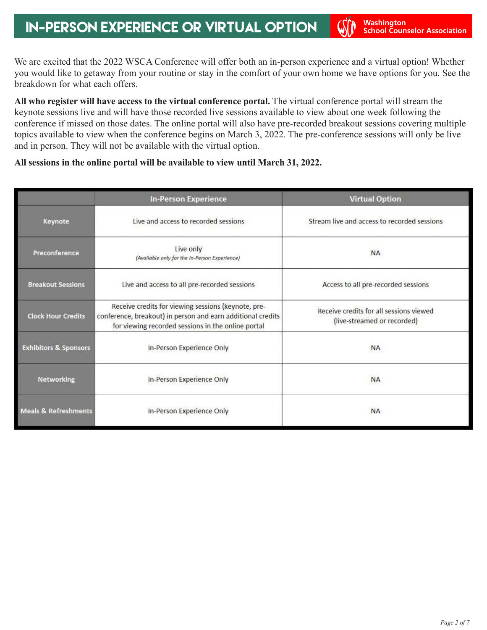We are excited that the 2022 WSCA Conference will offer both an in-person experience and a virtual option! Whether you would like to getaway from your routine or stay in the comfort of your own home we have options for you. See the breakdown for what each offers.

**All who register will have access to the virtual conference portal.** The virtual conference portal will stream the keynote sessions live and will have those recorded live sessions available to view about one week following the conference if missed on those dates. The online portal will also have pre-recorded breakout sessions covering multiple topics available to view when the conference begins on March 3, 2022. The pre-conference sessions will only be live and in person. They will not be available with the virtual option.

#### **All sessions in the online portal will be available to view until March 31, 2022.**

|                                  | <b>In-Person Experience</b>                                                                                                                                              | <b>Virtual Option</b>                                                  |
|----------------------------------|--------------------------------------------------------------------------------------------------------------------------------------------------------------------------|------------------------------------------------------------------------|
| Keynote                          | Live and access to recorded sessions                                                                                                                                     | Stream live and access to recorded sessions                            |
| Preconference                    | Live only<br>(Available only for the In-Person Experience)                                                                                                               | <b>NA</b>                                                              |
| <b>Breakout Sessions</b>         | Live and access to all pre-recorded sessions                                                                                                                             | Access to all pre-recorded sessions                                    |
| <b>Clock Hour Credits</b>        | Receive credits for viewing sessions (keynote, pre-<br>conference, breakout) in person and earn additional credits<br>for viewing recorded sessions in the online portal | Receive credits for all sessions viewed<br>(live-streamed or recorded) |
| <b>Exhibitors &amp; Sponsors</b> | In-Person Experience Only                                                                                                                                                | <b>NA</b>                                                              |
| <b>Networking</b>                | In-Person Experience Only                                                                                                                                                | <b>NA</b>                                                              |
| <b>Meals &amp; Refreshments</b>  | In-Person Experience Only                                                                                                                                                | <b>NA</b>                                                              |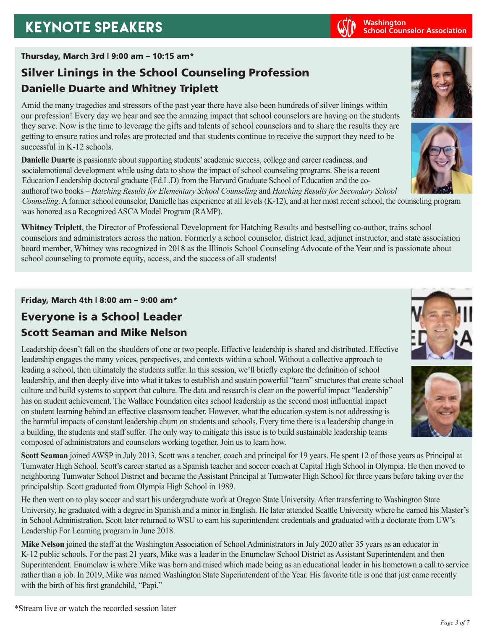# **KEYNOTE SPEAKERS Washington Washington Washington**

### Thursday, March 3rd | 9:00 am – 10:15 am\*

# Silver Linings in the School Counseling Profession Danielle Duarte and Whitney Triplett

Amid the many tragedies and stressors of the past year there have also been hundreds of silver linings within our profession! Every day we hear and see the amazing impact that school counselors are having on the students they serve. Now is the time to leverage the gifts and talents of school counselors and to share the results they are getting to ensure ratios and roles are protected and that students continue to receive the support they need to be successful in K-12 schools.

**Danielle Duarte** is passionate about supporting students' academic success, college and career readiness, and socialemotional development while using data to show the impact of school counseling programs. She is a recent Education Leadership doctoral graduate (Ed.L.D) from the Harvard Graduate School of Education and the coauthorof two books – *Hatching Results for Elementary School Counseling* and *Hatching Results for Secondary School* 

*Counseling*. A former school counselor, Danielle has experience at all levels (K-12), and at her most recent school, the counseling program was honored as a Recognized ASCA Model Program (RAMP).

**Whitney Triplett**, the Director of Professional Development for Hatching Results and bestselling co-author, trains school counselors and administrators across the nation. Formerly a school counselor, district lead, adjunct instructor, and state association board member, Whitney was recognized in 2018 as the Illinois School Counseling Advocate of the Year and is passionate about school counseling to promote equity, access, and the success of all students!

Friday, March 4th | 8:00 am – 9:00 am\*

# Everyone is a School Leader Scott Seaman and Mike Nelson

Leadership doesn't fall on the shoulders of one or two people. Effective leadership is shared and distributed. Effective leadership engages the many voices, perspectives, and contexts within a school. Without a collective approach to leading a school, then ultimately the students suffer. In this session, we'll briefly explore the definition of school leadership, and then deeply dive into what it takes to establish and sustain powerful "team" structures that create school culture and build systems to support that culture. The data and research is clear on the powerful impact "leadership" has on student achievement. The Wallace Foundation cites school leadership as the second most influential impact on student learning behind an effective classroom teacher. However, what the education system is not addressing is the harmful impacts of constant leadership churn on students and schools. Every time there is a leadership change in a building, the students and staff suffer. The only way to mitigate this issue is to build sustainable leadership teams composed of administrators and counselors working together. Join us to learn how.

**Scott Seaman** joined AWSP in July 2013. Scott was a teacher, coach and principal for 19 years. He spent 12 of those years as Principal at Tumwater High School. Scott's career started as a Spanish teacher and soccer coach at Capital High School in Olympia. He then moved to neighboring Tumwater School District and became the Assistant Principal at Tumwater High School for three years before taking over the principalship. Scott graduated from Olympia High School in 1989.

He then went on to play soccer and start his undergraduate work at Oregon State University. After transferring to Washington State University, he graduated with a degree in Spanish and a minor in English. He later attended Seattle University where he earned his Master's in School Administration. Scott later returned to WSU to earn his superintendent credentials and graduated with a doctorate from UW's Leadership For Learning program in June 2018.

**Mike Nelson** joined the staff at the Washington Association of School Administrators in July 2020 after 35 years as an educator in K-12 public schools. For the past 21 years, Mike was a leader in the Enumclaw School District as Assistant Superintendent and then Superintendent. Enumclaw is where Mike was born and raised which made being as an educational leader in his hometown a call to service rather than a job. In 2019, Mike was named Washington State Superintendent of the Year. His favorite title is one that just came recently with the birth of his first grandchild, "Papi."









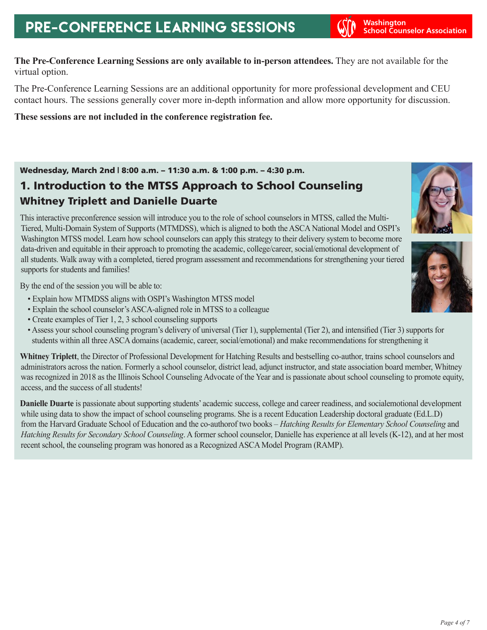**School Counselor Association**

**The Pre-Conference Learning Sessions are only available to in-person attendees.** They are not available for the virtual option.

The Pre-Conference Learning Sessions are an additional opportunity for more professional development and CEU contact hours. The sessions generally cover more in-depth information and allow more opportunity for discussion.

**These sessions are not included in the conference registration fee.** 

Wednesday, March 2nd | 8:00 a.m. – 11:30 a.m. & 1:00 p.m. – 4:30 p.m.

## 1. Introduction to the MTSS Approach to School Counseling Whitney Triplett and Danielle Duarte

This interactive preconference session will introduce you to the role of school counselors in MTSS, called the Multi-Tiered, Multi-Domain System of Supports (MTMDSS), which is aligned to both the ASCA National Model and OSPI's Washington MTSS model. Learn how school counselors can apply this strategy to their delivery system to become more data-driven and equitable in their approach to promoting the academic, college/career, social/emotional development of all students. Walk away with a completed, tiered program assessment and recommendations for strengthening your tiered supports for students and families!

By the end of the session you will be able to:

- Explain how MTMDSS aligns with OSPI's Washington MTSS model
- Explain the school counselor's ASCA-aligned role in MTSS to a colleague
- Create examples of Tier 1, 2, 3 school counseling supports
- Assess your school counseling program's delivery of universal (Tier 1), supplemental (Tier 2), and intensified (Tier 3) supports for students within all three ASCA domains (academic, career, social/emotional) and make recommendations for strengthening it

**Whitney Triplett**, the Director of Professional Development for Hatching Results and bestselling co-author, trains school counselors and administrators across the nation. Formerly a school counselor, district lead, adjunct instructor, and state association board member, Whitney was recognized in 2018 as the Illinois School Counseling Advocate of the Year and is passionate about school counseling to promote equity, access, and the success of all students!

**Danielle Duarte** is passionate about supporting students' academic success, college and career readiness, and socialemotional development while using data to show the impact of school counseling programs. She is a recent Education Leadership doctoral graduate (Ed.L.D) from the Harvard Graduate School of Education and the co-authorof two books – *Hatching Results for Elementary School Counseling* and *Hatching Results for Secondary School Counseling*. A former school counselor, Danielle has experience at all levels (K-12), and at her most recent school, the counseling program was honored as a Recognized ASCA Model Program (RAMP).



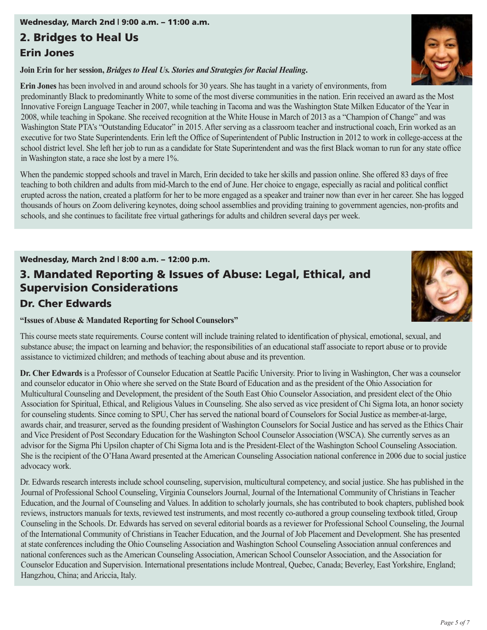#### Wednesday, March 2nd | 9:00 a.m. – 11:00 a.m.

### 2. Bridges to Heal Us

### Erin Jones

**Join Erin for her session,** *Bridges to Heal Us. Stories and Strategies for Racial Healing***.**

**Erin Jones** has been involved in and around schools for 30 years. She has taught in a variety of environments, from predominantly Black to predominantly White to some of the most diverse communities in the nation. Erin received an award as the Most Innovative Foreign Language Teacher in 2007, while teaching in Tacoma and was the Washington State Milken Educator of the Year in 2008, while teaching in Spokane. She received recognition at the White House in March of 2013 as a "Champion of Change" and was Washington State PTA's "Outstanding Educator" in 2015. After serving as a classroom teacher and instructional coach, Erin worked as an executive for two State Superintendents. Erin left the Office of Superintendent of Public Instruction in 2012 to work in college-access at the school district level. She left her job to run as a candidate for State Superintendent and was the first Black woman to run for any state office in Washington state, a race she lost by a mere 1%.

When the pandemic stopped schools and travel in March, Erin decided to take her skills and passion online. She offered 83 days of free teaching to both children and adults from mid-March to the end of June. Her choice to engage, especially as racial and political conflict erupted across the nation, created a platform for her to be more engaged as a speaker and trainer now than ever in her career. She has logged thousands of hours on Zoom delivering keynotes, doing school assemblies and providing training to government agencies, non-profits and schools, and she continues to facilitate free virtual gatherings for adults and children several days per week.

#### Wednesday, March 2nd | 8:00 a.m. – 12:00 p.m.

## 3. Mandated Reporting & Issues of Abuse: Legal, Ethical, and Supervision Considerations

### Dr. Cher Edwards

#### **"Issues of Abuse & Mandated Reporting for School Counselors"**

This course meets state requirements. Course content will include training related to identification of physical, emotional, sexual, and substance abuse; the impact on learning and behavior; the responsibilities of an educational staff associate to report abuse or to provide assistance to victimized children; and methods of teaching about abuse and its prevention.

**Dr. Cher Edwards** is a Professor of Counselor Education at Seattle Pacific University. Prior to living in Washington, Cher was a counselor and counselor educator in Ohio where she served on the State Board of Education and as the president of the Ohio Association for Multicultural Counseling and Development, the president of the South East Ohio Counselor Association, and president elect of the Ohio Association for Spiritual, Ethical, and Religious Values in Counseling. She also served as vice president of Chi Sigma Iota, an honor society for counseling students. Since coming to SPU, Cher has served the national board of Counselors for Social Justice as member-at-large, awards chair, and treasurer, served as the founding president of Washington Counselors for Social Justice and has served as the Ethics Chair and Vice President of Post Secondary Education for the Washington School Counselor Association (WSCA). She currently serves as an advisor for the Sigma Phi Upsilon chapter of Chi Sigma Iota and is the President-Elect of the Washington School Counseling Association. She is the recipient of the O'Hana Award presented at the American Counseling Association national conference in 2006 due to social justice advocacy work.

Dr. Edwards research interests include school counseling, supervision, multicultural competency, and social justice. She has published in the Journal of Professional School Counseling, Virginia Counselors Journal, Journal of the International Community of Christians in Teacher Education, and the Journal of Counseling and Values. In addition to scholarly journals, she has contributed to book chapters, published book reviews, instructors manuals for texts, reviewed test instruments, and most recently co-authored a group counseling textbook titled, Group Counseling in the Schools. Dr. Edwards has served on several editorial boards as a reviewer for Professional School Counseling, the Journal of the International Community of Christians in Teacher Education, and the Journal of Job Placement and Development. She has presented at state conferences including the Ohio Counseling Association and Washington School Counseling Association annual conferences and national conferences such as the American Counseling Association, American School Counselor Association, and the Association for Counselor Education and Supervision. International presentations include Montreal, Quebec, Canada; Beverley, East Yorkshire, England; Hangzhou, China; and Ariccia, Italy.



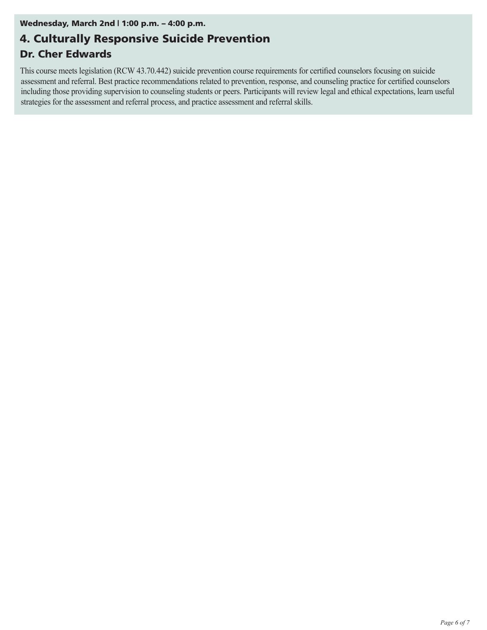#### Wednesday, March 2nd | 1:00 p.m. – 4:00 p.m.

# 4. Culturally Responsive Suicide Prevention

### Dr. Cher Edwards

This course meets legislation (RCW 43.70.442) suicide prevention course requirements for certified counselors focusing on suicide assessment and referral. Best practice recommendations related to prevention, response, and counseling practice for certified counselors including those providing supervision to counseling students or peers. Participants will review legal and ethical expectations, learn useful strategies for the assessment and referral process, and practice assessment and referral skills.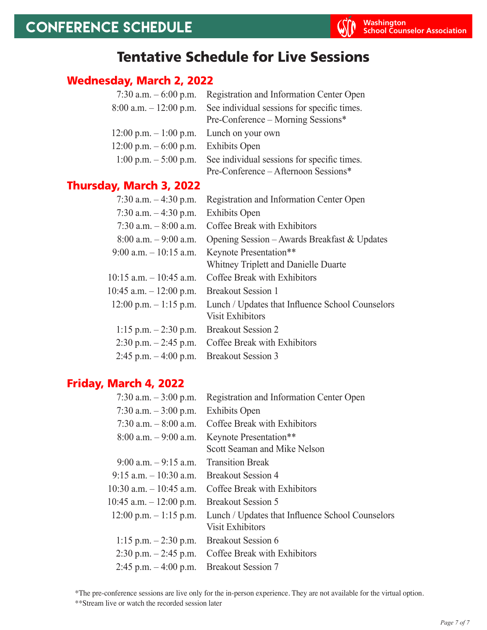# Tentative Schedule for Live Sessions

### Wednesday, March 2, 2022

| 7:30 a.m. $-6:00$ p.m.                      | Registration and Information Center Open    |
|---------------------------------------------|---------------------------------------------|
| $8:00$ a.m. $-12:00$ p.m.                   | See individual sessions for specific times. |
|                                             | Pre-Conference – Morning Sessions*          |
| $12:00$ p.m. $-1:00$ p.m. Lunch on your own |                                             |
| $12:00 \text{ p.m.} - 6:00 \text{ p.m.}$    | <b>Exhibits Open</b>                        |
| $1:00 \text{ p.m.} - 5:00 \text{ p.m.}$     | See individual sessions for specific times. |
|                                             | Pre-Conference – Afternoon Sessions*        |

## Thursday, March 3, 2022

| Registration and Information Center Open         |
|--------------------------------------------------|
| <b>Exhibits Open</b>                             |
| Coffee Break with Exhibitors                     |
| Opening Session – Awards Breakfast & Updates     |
| Keynote Presentation**                           |
| Whitney Triplett and Danielle Duarte             |
| Coffee Break with Exhibitors                     |
| <b>Breakout Session 1</b>                        |
| Lunch / Updates that Influence School Counselors |
| <b>Visit Exhibitors</b>                          |
| <b>Breakout Session 2</b>                        |
| Coffee Break with Exhibitors                     |
| <b>Breakout Session 3</b>                        |
|                                                  |

### Friday, March 4, 2022

| Registration and Information Center Open                                    |
|-----------------------------------------------------------------------------|
| <b>Exhibits Open</b>                                                        |
| Coffee Break with Exhibitors                                                |
| Keynote Presentation**                                                      |
| Scott Seaman and Mike Nelson                                                |
| <b>Transition Break</b>                                                     |
| <b>Breakout Session 4</b>                                                   |
| Coffee Break with Exhibitors                                                |
| <b>Breakout Session 5</b>                                                   |
| Lunch / Updates that Influence School Counselors<br><b>Visit Exhibitors</b> |
| <b>Breakout Session 6</b>                                                   |
| Coffee Break with Exhibitors                                                |
| <b>Breakout Session 7</b>                                                   |
|                                                                             |

\*The pre-conference sessions are live only for the in-person experience. They are not available for the virtual option. \*\*Stream live or watch the recorded session later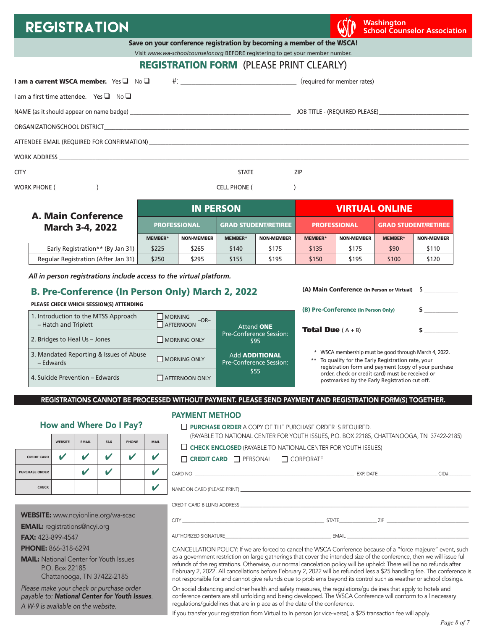# **REGISTRATION Washington We are all that the contract of the contract of the contract of the contract of the contract of the contract of the contract of the contract of the contract of the contract of the contract of t**

**School Counselor Association**

|  | Save on your conference registration by becoming a member of the WSCA! |  |
|--|------------------------------------------------------------------------|--|
|--|------------------------------------------------------------------------|--|

Visit *www.wa-schoolcounselor.org* BEFORE registering to get your member number.

### REGISTRATION FORM (PLEASE PRINT CLEARLY)

| <b>I am a current WSCA member.</b> Yes $\Box$ No $\Box$                                                                                                                                                                        |                     | (required for member rates)                                                                                                                                                                                                         |
|--------------------------------------------------------------------------------------------------------------------------------------------------------------------------------------------------------------------------------|---------------------|-------------------------------------------------------------------------------------------------------------------------------------------------------------------------------------------------------------------------------------|
| Lam a first time attendee. Yes $\Box$ No $\Box$                                                                                                                                                                                |                     |                                                                                                                                                                                                                                     |
|                                                                                                                                                                                                                                |                     |                                                                                                                                                                                                                                     |
|                                                                                                                                                                                                                                |                     |                                                                                                                                                                                                                                     |
| ATTENDEE EMAIL (REQUIRED FOR CONFIRMATION) And the contract of the contract of the contract of the contract of the contract of the contract of the contract of the contract of the contract of the contract of the contract of |                     |                                                                                                                                                                                                                                     |
|                                                                                                                                                                                                                                |                     |                                                                                                                                                                                                                                     |
|                                                                                                                                                                                                                                |                     | STATE 2IP 2IP                                                                                                                                                                                                                       |
| <b>WORK PHONE (</b><br>$\begin{pmatrix} 1 & 1 & 1 \\ 1 & 1 & 1 \\ 1 & 1 & 1 \end{pmatrix}$                                                                                                                                     | <b>CELL PHONE (</b> | $\overline{a}$ ) and the contract of the contract of the contract of the contract of the contract of the contract of the contract of the contract of the contract of the contract of the contract of the contract of the contract o |

| <b>A. Main Conference</b>           | <b>IN PERSON</b>    |                   |                             |                   | <b>VIRTUAL ONLINE</b> |                   |                             |                   |
|-------------------------------------|---------------------|-------------------|-----------------------------|-------------------|-----------------------|-------------------|-----------------------------|-------------------|
| <b>March 3-4, 2022</b>              | <b>PROFESSIONAL</b> |                   | <b>GRAD STUDENT/RETIREE</b> |                   | <b>PROFESSIONAL</b>   |                   | <b>GRAD STUDENT/RETIREE</b> |                   |
|                                     | <b>MEMBER*</b>      | <b>NON-MEMBER</b> | <b>MEMBER*</b>              | <b>NON-MEMBER</b> | <b>MEMBER*</b>        | <b>NON-MEMBER</b> | <b>MEMBER*</b>              | <b>NON-MEMBER</b> |
| Early Registration** (By Jan 31)    | \$225               | \$265             | \$140                       | \$175             | \$135                 | \$175             | \$90                        | \$110             |
| Regular Registration (After Jan 31) | \$250               | \$295             | \$155                       | \$195             | \$150                 | \$195             | \$100                       | \$120             |

*All in person registrations include access to the virtual platform.*

#### B. Pre-Conference (In Person Only) March 2, 2022

#### PLEASE CHECK WHICH SESSION(S) ATTENDING

|                                                              |                                       |                                                  | (B) Pre-Conference (In Person Only)                                                                                                                                  |  |
|--------------------------------------------------------------|---------------------------------------|--------------------------------------------------|----------------------------------------------------------------------------------------------------------------------------------------------------------------------|--|
| 1. Introduction to the MTSS Approach<br>- Hatch and Triplett | <b>MORNING</b><br>$-OR-$<br>AFTERNOON | Attend ONE                                       | <b>Total Due</b> $(A + B)$                                                                                                                                           |  |
| 2. Bridges to Heal Us - Jones                                | <b>MORNING ONLY</b>                   | <b>Pre-Conference Session:</b><br>\$95           |                                                                                                                                                                      |  |
| 3. Mandated Reporting & Issues of Abuse<br>- Edwards         | <b>MORNING ONLY</b>                   | <b>Add ADDITIONAL</b><br>Pre-Conference Session: | * WSCA membership must be good through March 4, 2022.<br>** To qualify for the Early Registration rate, your<br>registration form and payment (copy of your purchase |  |
| 4. Suicide Prevention – Edwards                              | <b>AFTERNOON ONLY</b>                 | \$55                                             | order, check or credit card) must be received or<br>postmarked by the Early Registration cut off.                                                                    |  |

REGISTRATIONS CANNOT BE PROCESSED WITHOUT PAYMENT. PLEASE SEND PAYMENT AND REGISTRATION FORM(S) TOGETHER.

# How and Where Do I Pay? WEBSITE | EMAIL | FAX | PHONE | MAIL CREDIT CARD  $\begin{array}{|c|c|c|c|}\hline \text{\hspace{0.3cm}} & \text{\hspace{0.3cm}} & \text{\hspace{0.3cm}} & \text{\hspace{0.3cm}} & \text{\hspace{0.3cm}} & \text{\hspace{0.3cm}} & \text{\hspace{0.3cm}} & \text{\hspace{0.3cm}} & \text{\hspace{0.3cm}} & \text{\hspace{0.3cm}} & \text{\hspace{0.3cm}} & \text{\hspace{0.3cm}} & \text{\hspace{0.3cm}} & \text{\hspace{0.3cm}} & \text{\hspace{0.3cm}} & \text{\hspace{0.3cm}}$ PURCHASE ORDER  $\parallel$   $\parallel$   $\parallel$   $\parallel$ CHECK 4

#### WEBSITE: www.ncyionline.org/wa-scac

EMAIL: registrations@ncyi.org

FAX: 423-899-4547

PHONE: 866-318-6294

**MAIL:** National Center for Youth Issues P.O. Box 22185 Chattanooga, TN 37422-2185

*Please make your check or purchase order payable to: National Center for Youth Issues*. *A W-9 is available on the website.*

#### PAYMENT METHOD

| $\Box$ PURCHASE ORDER A COPY OF THE PURCHASE ORDER IS REQUIRED.                           |  |  |
|-------------------------------------------------------------------------------------------|--|--|
| (PAYABLE TO NATIONAL CENTER FOR YOUTH ISSUES, P.O. BOX 22185, CHATTANOOGA, TN 37422-2185) |  |  |

(A) Main Conference (In Person or Virtual) \$ **\_\_\_\_\_\_\_\_\_\_\_\_** 

#### $\Box$  CHECK ENCLOSED (PAYABLE TO NATIONAL CENTER FOR YOUTH ISSUES)

| $\Box$ CREDIT CARD | $\Box$ PERSONAL | $\Box$ CORPORATE |
|--------------------|-----------------|------------------|
|--------------------|-----------------|------------------|

| CARD NO.                       | EXP. DATE | CID# |
|--------------------------------|-----------|------|
| NAME ON CARD (PLEASE PRINT) __ |           |      |
| CREDIT CARD BILLING ADDRESS    |           |      |

| . . | -         |  |
|-----|-----------|--|
|     |           |  |
|     |           |  |
|     | 64 A<br>. |  |

CANCELLATION POLICY: If we are forced to cancel the WSCA Conference because of a "force majeure" event, such as a government restriction on large gatherings that cover the intended size of the conference, then we will issue full refunds of the registrations. Otherwise, our normal cancelation policy will be upheld: There will be no refunds after February 2, 2022. All cancellations before February 2, 2022 will be refunded less a \$25 handling fee. The conference is not responsible for and cannot give refunds due to problems beyond its control such as weather or school closings.

On social distancing and other health and safety measures, the regulations/guidelines that apply to hotels and conference centers are still unfolding and being developed. The WSCA Conference will conform to all necessary regulations/guidelines that are in place as of the date of the conference.

If you transfer your registration from Virtual to In person (or vice-versa), a \$25 transaction fee will apply.